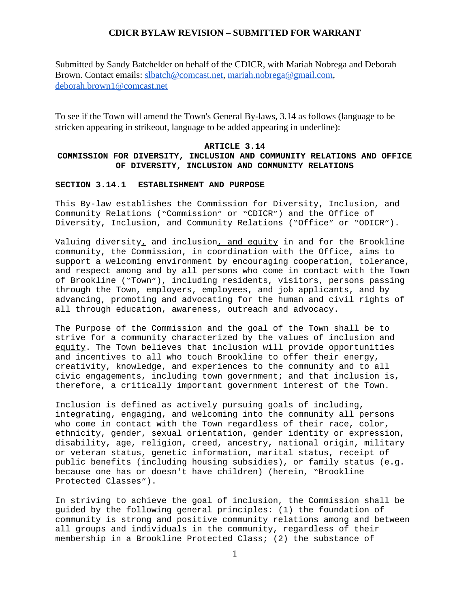Submitted by Sandy Batchelder on behalf of the CDICR, with Mariah Nobrega and Deborah Brown. Contact emails: [slbatch@comcast.net,](mailto:slbatch@comcast.net) [mariah.nobrega@gmail.com,](mailto:mariah.nobrega@gmail.com) [deborah.brown1@comcast.net](mailto:deborah.brown1@comcast.net)

To see if the Town will amend the Town's General By-laws, 3.14 as follows (language to be stricken appearing in strikeout, language to be added appearing in underline):

#### **ARTICLE 3.14**

## **COMMISSION FOR DIVERSITY, INCLUSION AND COMMUNITY RELATIONS AND OFFICE OF DIVERSITY, INCLUSION AND COMMUNITY RELATIONS**

#### **SECTION 3.14.1 ESTABLISHMENT AND PURPOSE**

This By-law establishes the Commission for Diversity, Inclusion, and Community Relations ("Commission" or "CDICR") and the Office of Diversity, Inclusion, and Community Relations ("Office" or "ODICR").

Valuing diversity, and inclusion, and equity in and for the Brookline community, the Commission, in coordination with the Office, aims to support a welcoming environment by encouraging cooperation, tolerance, and respect among and by all persons who come in contact with the Town of Brookline ("Town"), including residents, visitors, persons passing through the Town, employers, employees, and job applicants, and by advancing, promoting and advocating for the human and civil rights of all through education, awareness, outreach and advocacy.

The Purpose of the Commission and the goal of the Town shall be to strive for a community characterized by the values of inclusion and equity. The Town believes that inclusion will provide opportunities and incentives to all who touch Brookline to offer their energy, creativity, knowledge, and experiences to the community and to all civic engagements, including town government; and that inclusion is, therefore, a critically important government interest of the Town.

Inclusion is defined as actively pursuing goals of including, integrating, engaging, and welcoming into the community all persons who come in contact with the Town regardless of their race, color, ethnicity, gender, sexual orientation, gender identity or expression, disability, age, religion, creed, ancestry, national origin, military or veteran status, genetic information, marital status, receipt of public benefits (including housing subsidies), or family status (e.g. because one has or doesn't have children) (herein, "Brookline Protected Classes").

In striving to achieve the goal of inclusion, the Commission shall be guided by the following general principles: (1) the foundation of community is strong and positive community relations among and between all groups and individuals in the community, regardless of their membership in a Brookline Protected Class; (2) the substance of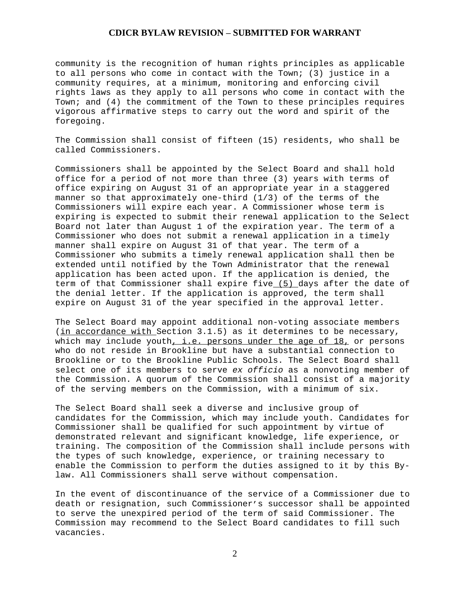community is the recognition of human rights principles as applicable to all persons who come in contact with the Town; (3) justice in a community requires, at a minimum, monitoring and enforcing civil rights laws as they apply to all persons who come in contact with the Town; and (4) the commitment of the Town to these principles requires vigorous affirmative steps to carry out the word and spirit of the foregoing.

The Commission shall consist of fifteen (15) residents, who shall be called Commissioners.

Commissioners shall be appointed by the Select Board and shall hold office for a period of not more than three (3) years with terms of office expiring on August 31 of an appropriate year in a staggered manner so that approximately one-third (1/3) of the terms of the Commissioners will expire each year. A Commissioner whose term is expiring is expected to submit their renewal application to the Select Board not later than August 1 of the expiration year. The term of a Commissioner who does not submit a renewal application in a timely manner shall expire on August 31 of that year. The term of a Commissioner who submits a timely renewal application shall then be extended until notified by the Town Administrator that the renewal application has been acted upon. If the application is denied, the term of that Commissioner shall expire five (5) days after the date of the denial letter. If the application is approved, the term shall expire on August 31 of the year specified in the approval letter.

The Select Board may appoint additional non-voting associate members (in accordance with Section 3.1.5) as it determines to be necessary, which may include youth, i.e. persons under the age of  $18$ , or persons who do not reside in Brookline but have a substantial connection to Brookline or to the Brookline Public Schools. The Select Board shall select one of its members to serve *ex officio* as a nonvoting member of the Commission. A quorum of the Commission shall consist of a majority of the serving members on the Commission, with a minimum of six.

The Select Board shall seek a diverse and inclusive group of candidates for the Commission, which may include youth. Candidates for Commissioner shall be qualified for such appointment by virtue of demonstrated relevant and significant knowledge, life experience, or training. The composition of the Commission shall include persons with the types of such knowledge, experience, or training necessary to enable the Commission to perform the duties assigned to it by this Bylaw. All Commissioners shall serve without compensation.

In the event of discontinuance of the service of a Commissioner due to death or resignation, such Commissioner's successor shall be appointed to serve the unexpired period of the term of said Commissioner. The Commission may recommend to the Select Board candidates to fill such vacancies.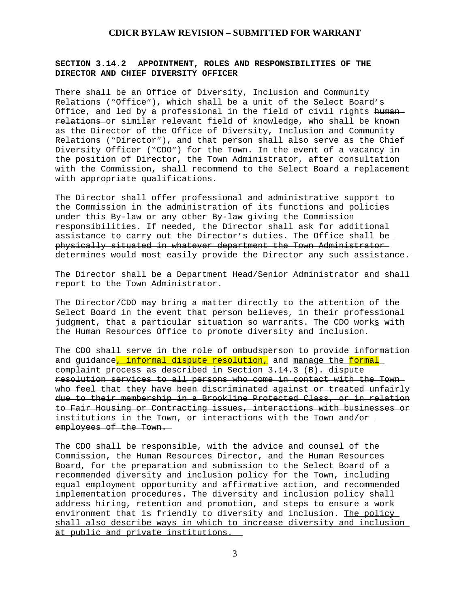## **SECTION 3.14.2 APPOINTMENT, ROLES AND RESPONSIBILITIES OF THE DIRECTOR AND CHIEF DIVERSITY OFFICER**

There shall be an Office of Diversity, Inclusion and Community Relations ("Office"), which shall be a unit of the Select Board's Office, and led by a professional in the field of civil rights humanrelations or similar relevant field of knowledge, who shall be known as the Director of the Office of Diversity, Inclusion and Community Relations ("Director"), and that person shall also serve as the Chief Diversity Officer ("CDO") for the Town. In the event of a vacancy in the position of Director, the Town Administrator, after consultation with the Commission, shall recommend to the Select Board a replacement with appropriate qualifications.

The Director shall offer professional and administrative support to the Commission in the administration of its functions and policies under this By-law or any other By-law giving the Commission responsibilities. If needed, the Director shall ask for additional assistance to carry out the Director's duties. The Office shall be physically situated in whatever department the Town Administrator determines would most easily provide the Director any such assistance.

The Director shall be a Department Head/Senior Administrator and shall report to the Town Administrator.

The Director/CDO may bring a matter directly to the attention of the Select Board in the event that person believes, in their professional judgment, that a particular situation so warrants. The CDO works with the Human Resources Office to promote diversity and inclusion.

The CDO shall serve in the role of ombudsperson to provide information and quidance<mark>, informal dispute resolution,</mark> and manage the formal complaint process as described in Section 3.14.3 (B). dispute resolution services to all persons who come in contact with the Town who feel that they have been discriminated against or treated unfairly due to their membership in a Brookline Protected Class, or in relation to Fair Housing or Contracting issues, interactions with businesses or institutions in the Town, or interactions with the Town and/or employees of the Town.

The CDO shall be responsible, with the advice and counsel of the Commission, the Human Resources Director, and the Human Resources Board, for the preparation and submission to the Select Board of a recommended diversity and inclusion policy for the Town, including equal employment opportunity and affirmative action, and recommended implementation procedures. The diversity and inclusion policy shall address hiring, retention and promotion, and steps to ensure a work environment that is friendly to diversity and inclusion. The policy shall also describe ways in which to increase diversity and inclusion at public and private institutions.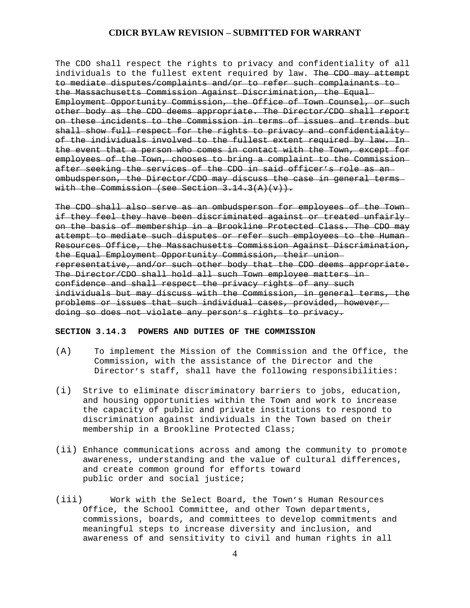The CDO shall respect the rights to privacy and confidentiality of all individuals to the fullest extent required by law. The CDO may attempt to mediate disputes/complaints and/or to refer such complainants to the Massachusetts Commission Against Discrimination, the Equal Employment Opportunity Commission, the Office of Town Counsel, or such other body as the CDO deems appropriate. The Director/CDO shall report on these incidents to the Commission in terms of issues and trends but shall show full respect for the rights to privacy and confidentiality of the individuals involved to the fullest extent required by law. In the event that a person who comes in contact with the Town, except for employees of the Town, chooses to bring a complaint to the Commission after seeking the services of the CDO in said officer's role as an ombudsperson, the Director/CDO may discuss the case in general terms with the Commission (see Section  $3.14.3(A)(v)$ ).

The CDO shall also serve as an ombudsperson for employees of the Town if they feel they have been discriminated against or treated unfairly on the basis of membership in a Brookline Protected Class. The CDO may attempt to mediate such disputes or refer such employees to the Human Resources Office, the Massachusetts Commission Against Discrimination, the Equal Employment Opportunity Commission, their union representative, and/or such other body that the CDO deems appropriate. The Director/CDO shall hold all such Town employee matters in confidence and shall respect the privacy rights of any such individuals but may discuss with the Commission, in general terms, the problems or issues that such individual cases, provided, however, doing so does not violate any person's rights to privacy.

#### **SECTION 3.14.3 POWERS AND DUTIES OF THE COMMISSION**

- (A) To implement the Mission of the Commission and the Office, the Commission, with the assistance of the Director and the Director's staff, shall have the following responsibilities:
- (i) Strive to eliminate discriminatory barriers to jobs, education, and housing opportunities within the Town and work to increase the capacity of public and private institutions to respond to discrimination against individuals in the Town based on their membership in a Brookline Protected Class;
- (ii) Enhance communications across and among the community to promote awareness, understanding and the value of cultural differences, and create common ground for efforts toward public order and social justice;
- (iii) Work with the Select Board, the Town's Human Resources Office, the School Committee, and other Town departments, commissions, boards, and committees to develop commitments and meaningful steps to increase diversity and inclusion, and awareness of and sensitivity to civil and human rights in all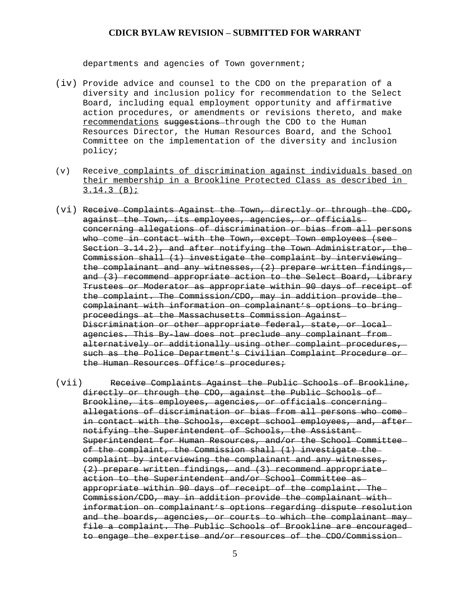departments and agencies of Town government;

- (iv) Provide advice and counsel to the CDO on the preparation of a diversity and inclusion policy for recommendation to the Select Board, including equal employment opportunity and affirmative action procedures, or amendments or revisions thereto, and make recommendations suggestions through the CDO to the Human Resources Director, the Human Resources Board, and the School Committee on the implementation of the diversity and inclusion policy;
- (v) Receive complaints of discrimination against individuals based on their membership in a Brookline Protected Class as described in 3.14.3 (B);
- (vi) Receive Complaints Against the Town, directly or through the CDO, against the Town, its employees, agencies, or officials concerning allegations of discrimination or bias from all persons who come in contact with the Town, except Town employees (see Section 3.14.2), and after notifying the Town Administrator, the Commission shall (1) investigate the complaint by interviewing the complainant and any witnesses, (2) prepare written findings, and (3) recommend appropriate action to the Select Board, Library Trustees or Moderator as appropriate within 90 days of receipt of the complaint. The Commission/CDO, may in addition provide the complainant with information on complainant's options to bring proceedings at the Massachusetts Commission Against Discrimination or other appropriate federal, state, or local agencies. This By-law does not preclude any complainant from alternatively or additionally using other complaint procedures, such as the Police Department's Civilian Complaint Procedure or the Human Resources Office's procedures;
- (vii) Receive Complaints Against the Public Schools of Brookline, directly or through the CDO, against the Public Schools of Brookline, its employees, agencies, or officials concerning allegations of discrimination or bias from all persons who come in contact with the Schools, except school employees, and, after notifying the Superintendent of Schools, the Assistant Superintendent for Human Resources, and/or the School Committee of the complaint, the Commission shall (1) investigate the complaint by interviewing the complainant and any witnesses, (2) prepare written findings, and (3) recommend appropriate action to the Superintendent and/or School Committee as appropriate within 90 days of receipt of the complaint. The Commission/CDO, may in addition provide the complainant with information on complainant's options regarding dispute resolution and the boards, agencies, or courts to which the complainant may file a complaint. The Public Schools of Brookline are encouraged to engage the expertise and/or resources of the CDO/Commission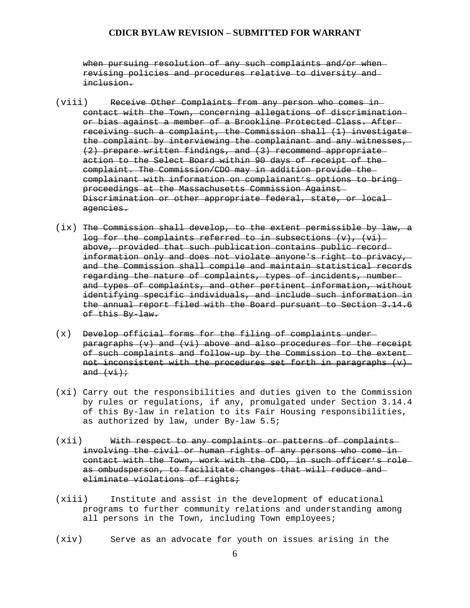when pursuing resolution of any such complaints and/or when revising policies and procedures relative to diversity and inclusion.

- (viii) Receive Other Complaints from any person who comes in contact with the Town, concerning allegations of discrimination or bias against a member of a Brookline Protected Class. After receiving such a complaint, the Commission shall (1) investigate the complaint by interviewing the complainant and any witnesses, (2) prepare written findings, and (3) recommend appropriate action to the Select Board within 90 days of receipt of the complaint. The Commission/CDO may in addition provide the complainant with information on complainant's options to bring proceedings at the Massachusetts Commission Against Discrimination or other appropriate federal, state, or local agencies.
- (ix) The Commission shall develop, to the extent permissible by law, a log for the complaints referred to in subsections  $(v)$ ,  $(vi)$ above, provided that such publication contains public record information only and does not violate anyone's right to privacy, and the Commission shall compile and maintain statistical records regarding the nature of complaints, types of incidents, number and types of complaints, and other pertinent information, without identifying specific individuals, and include such information in the annual report filed with the Board pursuant to Section 3.14.6 of this By-law.
- (x) Develop official forms for the filing of complaints under paragraphs (v) and (vi) above and also procedures for the receipt of such complaints and follow-up by the Commission to the extent not inconsistent with the procedures set forth in paragraphs  $(v)$ and  $(vi):$
- (xi) Carry out the responsibilities and duties given to the Commission by rules or regulations, if any, promulgated under Section 3.14.4 of this By-law in relation to its Fair Housing responsibilities, as authorized by law, under By-law 5.5;
- (xii) With respect to any complaints or patterns of complaints involving the civil or human rights of any persons who come in contact with the Town, work with the CDO, in such officer's role as ombudsperson, to facilitate changes that will reduce and eliminate violations of rights;
- (xiii) Institute and assist in the development of educational programs to further community relations and understanding among all persons in the Town, including Town employees;
- (xiv) Serve as an advocate for youth on issues arising in the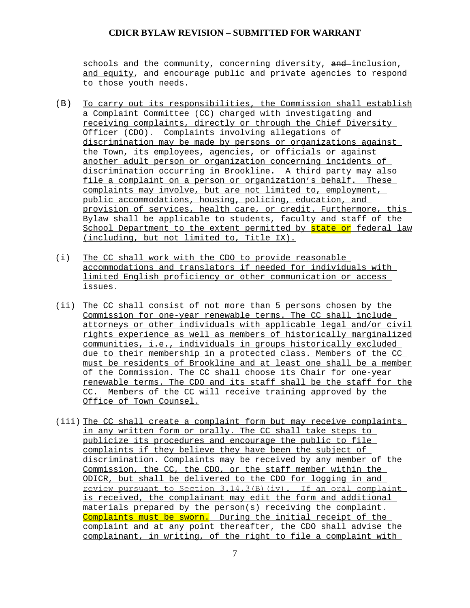schools and the community, concerning diversity,  $\overline{and}$ -inclusion, and equity, and encourage public and private agencies to respond to those youth needs.

- (B) To carry out its responsibilities, the Commission shall establish a Complaint Committee (CC) charged with investigating and receiving complaints, directly or through the Chief Diversity Officer (CDO). Complaints involving allegations of discrimination may be made by persons or organizations against the Town, its employees, agencies, or officials or against another adult person or organization concerning incidents of discrimination occurring in Brookline. A third party may also file a complaint on a person or organization's behalf. These complaints may involve, but are not limited to, employment, public accommodations, housing, policing, education, and provision of services, health care, or credit. Furthermore, this Bylaw shall be applicable to students, faculty and staff of the School Department to the extent permitted by state or federal law (including, but not limited to, Title IX).
- (i) The CC shall work with the CDO to provide reasonable accommodations and translators if needed for individuals with limited English proficiency or other communication or access issues.
- (ii) The CC shall consist of not more than 5 persons chosen by the Commission for one-year renewable terms. The CC shall include attorneys or other individuals with applicable legal and/or civil rights experience as well as members of historically marginalized communities, i.e., individuals in groups historically excluded due to their membership in a protected class. Members of the CC must be residents of Brookline and at least one shall be a member of the Commission. The CC shall choose its Chair for one-year renewable terms. The CDO and its staff shall be the staff for the CC. Members of the CC will receive training approved by the Office of Town Counsel.
- (iii) The CC shall create a complaint form but may receive complaints in any written form or orally. The CC shall take steps to publicize its procedures and encourage the public to file complaints if they believe they have been the subject of discrimination. Complaints may be received by any member of the Commission, the CC, the CDO, or the staff member within the ODICR, but shall be delivered to the CDO for logging in and review pursuant to Section 3.14.3(B)(iv). If an oral complaint is received, the complainant may edit the form and additional materials prepared by the person(s) receiving the complaint. Complaints must be sworn. During the initial receipt of the complaint and at any point thereafter, the CDO shall advise the complainant, in writing, of the right to file a complaint with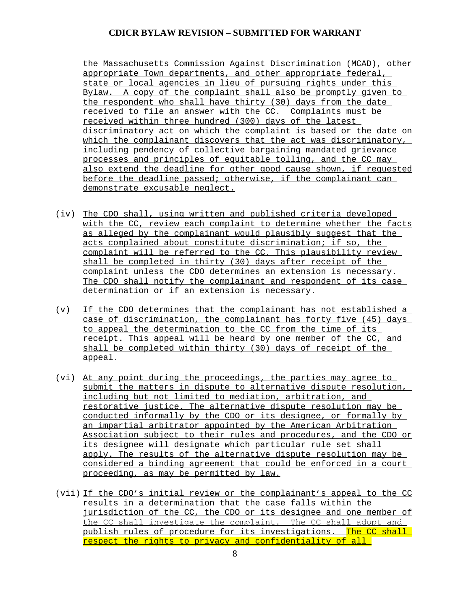the Massachusetts Commission Against Discrimination (MCAD), other appropriate Town departments, and other appropriate federal, state or local agencies in lieu of pursuing rights under this Bylaw. A copy of the complaint shall also be promptly given to the respondent who shall have thirty (30) days from the date received to file an answer with the CC. Complaints must be received within three hundred (300) days of the latest discriminatory act on which the complaint is based or the date on which the complainant discovers that the act was discriminatory, including pendency of collective bargaining mandated grievance processes and principles of equitable tolling, and the CC may also extend the deadline for other good cause shown, if requested before the deadline passed; otherwise, if the complainant can demonstrate excusable neglect.

- (iv) The CDO shall, using written and published criteria developed with the CC, review each complaint to determine whether the facts as alleged by the complainant would plausibly suggest that the acts complained about constitute discrimination; if so, the complaint will be referred to the CC. This plausibility review shall be completed in thirty (30) days after receipt of the complaint unless the CDO determines an extension is necessary. The CDO shall notify the complainant and respondent of its case determination or if an extension is necessary.
- (v) If the CDO determines that the complainant has not established a case of discrimination, the complainant has forty five (45) days to appeal the determination to the CC from the time of its receipt. This appeal will be heard by one member of the CC, and shall be completed within thirty (30) days of receipt of the appeal.
- (vi) At any point during the proceedings, the parties may agree to submit the matters in dispute to alternative dispute resolution, including but not limited to mediation, arbitration, and restorative justice. The alternative dispute resolution may be conducted informally by the CDO or its designee, or formally by an impartial arbitrator appointed by the American Arbitration Association subject to their rules and procedures, and the CDO or its designee will designate which particular rule set shall apply. The results of the alternative dispute resolution may be considered a binding agreement that could be enforced in a court proceeding, as may be permitted by law.
- (vii) If the CDO's initial review or the complainant's appeal to the CC results in a determination that the case falls within the jurisdiction of the CC, the CDO or its designee and one member of the CC shall investigate the complaint. The CC shall adopt and publish rules of procedure for its investigations. The CC shall respect the rights to privacy and confidentiality of all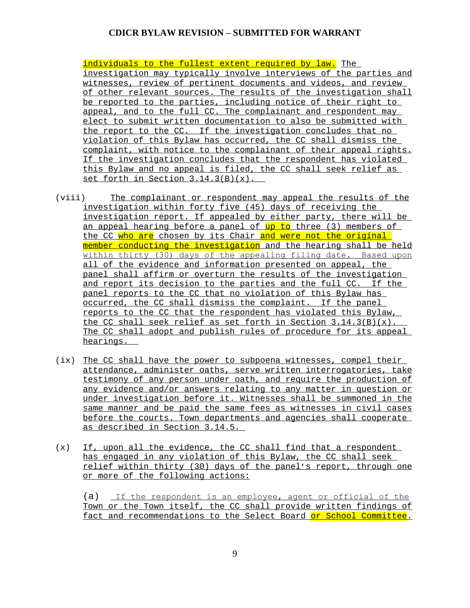individuals to the fullest extent required by law. The investigation may typically involve interviews of the parties and witnesses, review of pertinent documents and videos, and review of other relevant sources. The results of the investigation shall be reported to the parties, including notice of their right to appeal, and to the full CC. The complainant and respondent may elect to submit written documentation to also be submitted with the report to the CC. If the investigation concludes that no violation of this Bylaw has occurred, the CC shall dismiss the complaint, with notice to the complainant of their appeal rights. If the investigation concludes that the respondent has violated this Bylaw and no appeal is filed, the CC shall seek relief as set forth in Section  $3.14.3(B)(x)$ .

- (viii) The complainant or respondent may appeal the results of the investigation within forty five (45) days of receiving the investigation report. If appealed by either party, there will be <u>an appeal hearing before a panel of up to three (3) members of </u> the CC who are chosen by its Chair and were not the original member conducting the investigation and the hearing shall be held within thirty (30) days of the appealing filing date. Based upon all of the evidence and information presented on appeal, the panel shall affirm or overturn the results of the investigation and report its decision to the parties and the full CC. If the panel reports to the CC that no violation of this Bylaw has occurred, the CC shall dismiss the complaint. If the panel reports to the CC that the respondent has violated this Bylaw, the CC shall seek relief as set forth in Section  $3.14.3(B)(x)$ . The CC shall adopt and publish rules of procedure for its appeal hearings.
- (ix) The CC shall have the power to subpoena witnesses, compel their attendance, administer oaths, serve written interrogatories, take testimony of any person under oath, and require the production of any evidence and/or answers relating to any matter in question or under investigation before it. Witnesses shall be summoned in the same manner and be paid the same fees as witnesses in civil cases before the courts. Town departments and agencies shall cooperate as described in Section 3.14.5.
- $(x)$  If, upon all the evidence, the CC shall find that a respondent has engaged in any violation of this Bylaw, the CC shall seek relief within thirty (30) days of the panel's report, through one or more of the following actions:

(a) If the respondent is an employee, agent or official of the Town or the Town itself, the CC shall provide written findings of fact and recommendations to the Select Board or School Committee.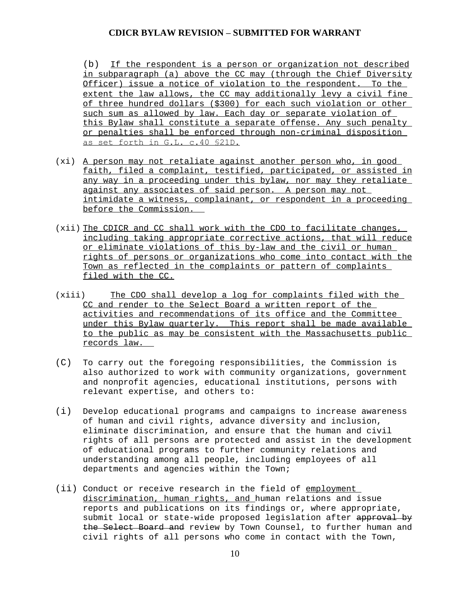(b) If the respondent is a person or organization not described in subparagraph (a) above the CC may (through the Chief Diversity Officer) issue a notice of violation to the respondent. To the extent the law allows, the CC may additionally levy a civil fine of three hundred dollars (\$300) for each such violation or other such sum as allowed by law. Each day or separate violation of this Bylaw shall constitute a separate offense. Any such penalty or penalties shall be enforced through non-criminal disposition as set forth in G.L. c.40 §21D.

- (xi) A person may not retaliate against another person who, in good faith, filed a complaint, testified, participated, or assisted in any way in a proceeding under this bylaw, nor may they retaliate against any associates of said person. A person may not intimidate a witness, complainant, or respondent in a proceeding before the Commission.
- (xii) The CDICR and CC shall work with the CDO to facilitate changes, including taking appropriate corrective actions, that will reduce or eliminate violations of this by-law and the civil or human rights of persons or organizations who come into contact with the Town as reflected in the complaints or pattern of complaints filed with the CC.
- (xiii) The CDO shall develop a log for complaints filed with the CC and render to the Select Board a written report of the activities and recommendations of its office and the Committee under this Bylaw quarterly. This report shall be made available to the public as may be consistent with the Massachusetts public records law.
- (C) To carry out the foregoing responsibilities, the Commission is also authorized to work with community organizations, government and nonprofit agencies, educational institutions, persons with relevant expertise, and others to:
- (i) Develop educational programs and campaigns to increase awareness of human and civil rights, advance diversity and inclusion, eliminate discrimination, and ensure that the human and civil rights of all persons are protected and assist in the development of educational programs to further community relations and understanding among all people, including employees of all departments and agencies within the Town;
- (ii) Conduct or receive research in the field of employment discrimination, human rights, and human relations and issue reports and publications on its findings or, where appropriate, submit local or state-wide proposed legislation after approval by the Select Board and review by Town Counsel, to further human and civil rights of all persons who come in contact with the Town,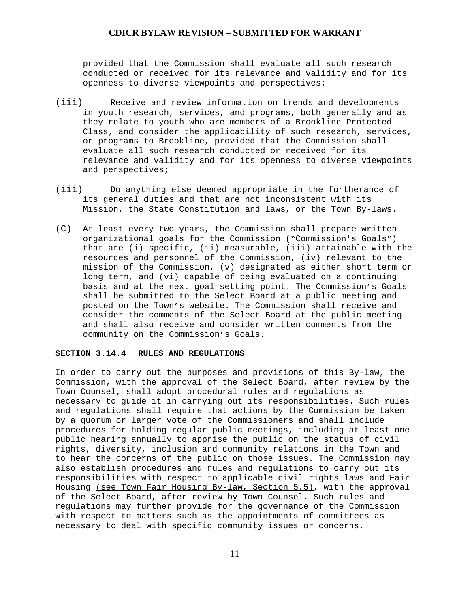provided that the Commission shall evaluate all such research conducted or received for its relevance and validity and for its openness to diverse viewpoints and perspectives;

- (iii) Receive and review information on trends and developments in youth research, services, and programs, both generally and as they relate to youth who are members of a Brookline Protected Class, and consider the applicability of such research, services, or programs to Brookline, provided that the Commission shall evaluate all such research conducted or received for its relevance and validity and for its openness to diverse viewpoints and perspectives;
- (iii) Do anything else deemed appropriate in the furtherance of its general duties and that are not inconsistent with its Mission, the State Constitution and laws, or the Town By-laws.
- (C) At least every two years, the Commission shall prepare written organizational goals for the Commission ("Commission's Goals") that are (i) specific, (ii) measurable, (iii) attainable with the resources and personnel of the Commission, (iv) relevant to the mission of the Commission, (v) designated as either short term or long term, and (vi) capable of being evaluated on a continuing basis and at the next goal setting point. The Commission's Goals shall be submitted to the Select Board at a public meeting and posted on the Town's website. The Commission shall receive and consider the comments of the Select Board at the public meeting and shall also receive and consider written comments from the community on the Commission's Goals.

## **SECTION 3.14.4 RULES AND REGULATIONS**

In order to carry out the purposes and provisions of this By-law, the Commission, with the approval of the Select Board, after review by the Town Counsel, shall adopt procedural rules and regulations as necessary to guide it in carrying out its responsibilities. Such rules and regulations shall require that actions by the Commission be taken by a quorum or larger vote of the Commissioners and shall include procedures for holding regular public meetings, including at least one public hearing annually to apprise the public on the status of civil rights, diversity, inclusion and community relations in the Town and to hear the concerns of the public on those issues. The Commission may also establish procedures and rules and regulations to carry out its responsibilities with respect to applicable civil rights laws and Fair Housing (see Town Fair Housing By-law, Section 5.5), with the approval of the Select Board, after review by Town Counsel. Such rules and regulations may further provide for the governance of the Commission with respect to matters such as the appointments of committees as necessary to deal with specific community issues or concerns.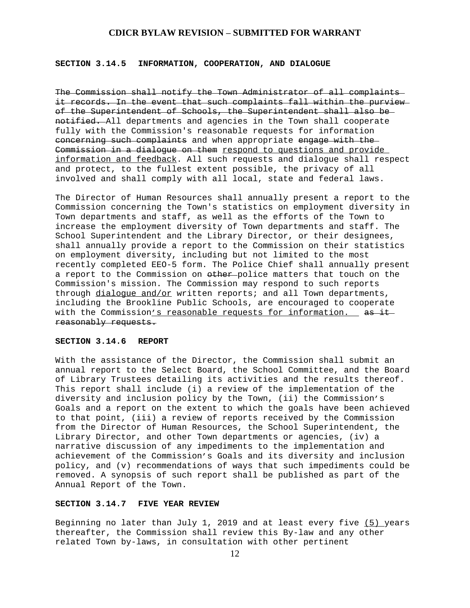## **SECTION 3.14.5 INFORMATION, COOPERATION, AND DIALOGUE**

The Commission shall notify the Town Administrator of all complaints it records. In the event that such complaints fall within the purview of the Superintendent of Schools, the Superintendent shall also be notified. All departments and agencies in the Town shall cooperate fully with the Commission's reasonable requests for information concerning such complaints and when appropriate engage with the Commission in a dialogue on them respond to questions and provide information and feedback. All such requests and dialogue shall respect and protect, to the fullest extent possible, the privacy of all involved and shall comply with all local, state and federal laws.

The Director of Human Resources shall annually present a report to the Commission concerning the Town's statistics on employment diversity in Town departments and staff, as well as the efforts of the Town to increase the employment diversity of Town departments and staff. The School Superintendent and the Library Director, or their designees, shall annually provide a report to the Commission on their statistics on employment diversity, including but not limited to the most recently completed EEO-5 form. The Police Chief shall annually present a report to the Commission on  $\theta$ ther police matters that touch on the Commission's mission. The Commission may respond to such reports through dialogue and/or written reports; and all Town departments, including the Brookline Public Schools, are encouraged to cooperate with the Commission's reasonable requests for information. as it reasonably requests.

#### **SECTION 3.14.6 REPORT**

With the assistance of the Director, the Commission shall submit an annual report to the Select Board, the School Committee, and the Board of Library Trustees detailing its activities and the results thereof. This report shall include (i) a review of the implementation of the diversity and inclusion policy by the Town, (ii) the Commission's Goals and a report on the extent to which the goals have been achieved to that point, (iii) a review of reports received by the Commission from the Director of Human Resources, the School Superintendent, the Library Director, and other Town departments or agencies, (iv) a narrative discussion of any impediments to the implementation and achievement of the Commission's Goals and its diversity and inclusion policy, and (v) recommendations of ways that such impediments could be removed. A synopsis of such report shall be published as part of the Annual Report of the Town.

#### **SECTION 3.14.7 FIVE YEAR REVIEW**

Beginning no later than July 1, 2019 and at least every five (5) years thereafter, the Commission shall review this By-law and any other related Town by-laws, in consultation with other pertinent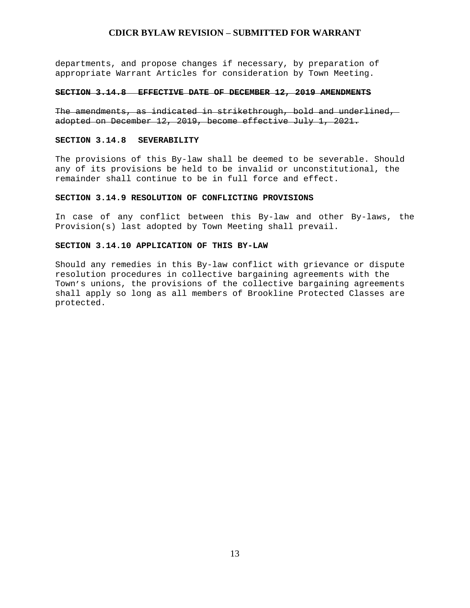departments, and propose changes if necessary, by preparation of appropriate Warrant Articles for consideration by Town Meeting.

#### **SECTION 3.14.8 EFFECTIVE DATE OF DECEMBER 12, 2019 AMENDMENTS**

The amendments, as indicated in strikethrough, bold and underlined, adopted on December 12, 2019, become effective July 1, 2021.

#### **SECTION 3.14.8 SEVERABILITY**

The provisions of this By-law shall be deemed to be severable. Should any of its provisions be held to be invalid or unconstitutional, the remainder shall continue to be in full force and effect.

#### **SECTION 3.14.9 RESOLUTION OF CONFLICTING PROVISIONS**

In case of any conflict between this By-law and other By-laws, the Provision(s) last adopted by Town Meeting shall prevail.

#### **SECTION 3.14.10 APPLICATION OF THIS BY-LAW**

Should any remedies in this By-law conflict with grievance or dispute resolution procedures in collective bargaining agreements with the Town's unions, the provisions of the collective bargaining agreements shall apply so long as all members of Brookline Protected Classes are protected.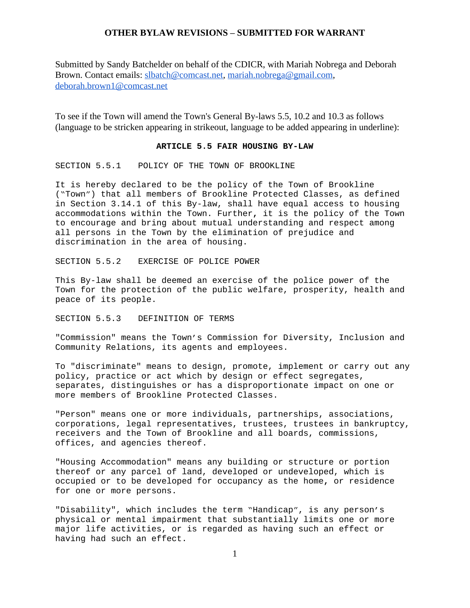Submitted by Sandy Batchelder on behalf of the CDICR, with Mariah Nobrega and Deborah Brown. Contact emails: [slbatch@comcast.net,](mailto:slbatch@comcast.net) [mariah.nobrega@gmail.com,](mailto:mariah.nobrega@gmail.com) [deborah.brown1@comcast.net](mailto:deborah.brown1@comcast.net)

To see if the Town will amend the Town's General By-laws 5.5, 10.2 and 10.3 as follows (language to be stricken appearing in strikeout, language to be added appearing in underline):

#### **ARTICLE 5.5 FAIR HOUSING BY-LAW**

SECTION 5.5.1 POLICY OF THE TOWN OF BROOKLINE

It is hereby declared to be the policy of the Town of Brookline ("Town") that all members of Brookline Protected Classes, as defined in Section 3.14.1 of this By-law, shall have equal access to housing accommodations within the Town. Further**,** it is the policy of the Town to encourage and bring about mutual understanding and respect among all persons in the Town by the elimination of prejudice and discrimination in the area of housing.

SECTION 5.5.2 EXERCISE OF POLICE POWER

This By-law shall be deemed an exercise of the police power of the Town for the protection of the public welfare, prosperity, health and peace of its people.

SECTION 5.5.3 DEFINITION OF TERMS

"Commission" means the Town's Commission for Diversity, Inclusion and Community Relations, its agents and employees.

To "discriminate" means to design, promote, implement or carry out any policy, practice or act which by design or effect segregates, separates, distinguishes or has a disproportionate impact on one or more members of Brookline Protected Classes.

"Person" means one or more individuals, partnerships, associations, corporations, legal representatives, trustees, trustees in bankruptcy, receivers and the Town of Brookline and all boards, commissions, offices, and agencies thereof.

"Housing Accommodation" means any building or structure or portion thereof or any parcel of land, developed or undeveloped, which is occupied or to be developed for occupancy as the home**,** or residence for one or more persons.

"Disability", which includes the term "Handicap", is any person's physical or mental impairment that substantially limits one or more major life activities, or is regarded as having such an effect or having had such an effect.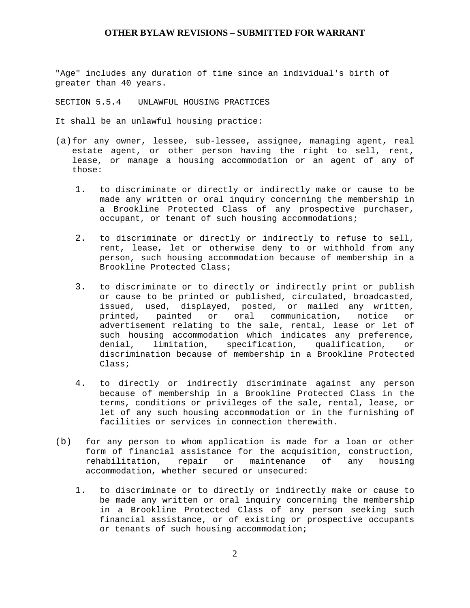"Age" includes any duration of time since an individual's birth of greater than 40 years.

SECTION 5.5.4 UNLAWFUL HOUSING PRACTICES

It shall be an unlawful housing practice:

- (a)for any owner, lessee, sub-lessee, assignee, managing agent, real estate agent, or other person having the right to sell, rent, lease, or manage a housing accommodation or an agent of any of those:
	- 1. to discriminate or directly or indirectly make or cause to be made any written or oral inquiry concerning the membership in a Brookline Protected Class of any prospective purchaser, occupant, or tenant of such housing accommodations;
	- 2. to discriminate or directly or indirectly to refuse to sell, rent, lease, let or otherwise deny to or withhold from any person, such housing accommodation because of membership in a Brookline Protected Class;
	- 3. to discriminate or to directly or indirectly print or publish or cause to be printed or published, circulated, broadcasted, issued, used, displayed, posted, or mailed any written, printed, painted or oral communication, notice or advertisement relating to the sale, rental, lease or let of such housing accommodation which indicates any preference, denial, limitation, specification, qualification, or discrimination because of membership in a Brookline Protected Class;
	- 4. to directly or indirectly discriminate against any person because of membership in a Brookline Protected Class in the terms, conditions or privileges of the sale, rental, lease, or let of any such housing accommodation or in the furnishing of facilities or services in connection therewith.
- (b) for any person to whom application is made for a loan or other form of financial assistance for the acquisition, construction, rehabilitation, repair or maintenance of any housing accommodation, whether secured or unsecured:
	- 1. to discriminate or to directly or indirectly make or cause to be made any written or oral inquiry concerning the membership in a Brookline Protected Class of any person seeking such financial assistance, or of existing or prospective occupants or tenants of such housing accommodation;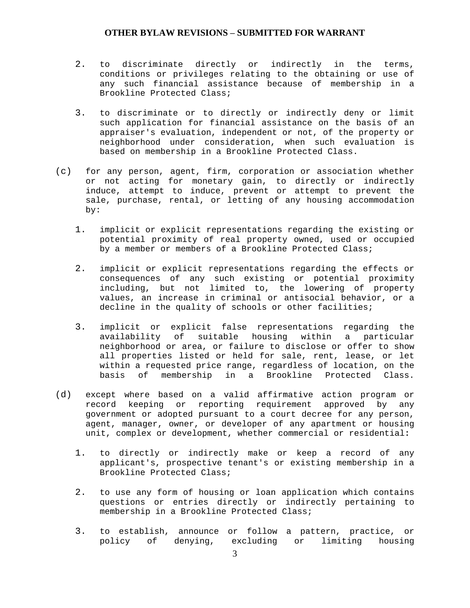- 2. to discriminate directly or indirectly in the terms, conditions or privileges relating to the obtaining or use of any such financial assistance because of membership in a Brookline Protected Class;
- 3. to discriminate or to directly or indirectly deny or limit such application for financial assistance on the basis of an appraiser's evaluation, independent or not, of the property or neighborhood under consideration, when such evaluation is based on membership in a Brookline Protected Class.
- (c) for any person, agent, firm, corporation or association whether or not acting for monetary gain, to directly or indirectly induce, attempt to induce, prevent or attempt to prevent the sale, purchase, rental, or letting of any housing accommodation by:
	- 1. implicit or explicit representations regarding the existing or potential proximity of real property owned, used or occupied by a member or members of a Brookline Protected Class;
	- 2. implicit or explicit representations regarding the effects or consequences of any such existing or potential proximity including, but not limited to, the lowering of property values, an increase in criminal or antisocial behavior, or a decline in the quality of schools or other facilities;
	- 3. implicit or explicit false representations regarding the availability of suitable housing within a particular neighborhood or area, or failure to disclose or offer to show all properties listed or held for sale, rent, lease, or let within a requested price range, regardless of location, on the basis of membership in a Brookline Protected Class.
- (d) except where based on a valid affirmative action program or record keeping or reporting requirement approved by any government or adopted pursuant to a court decree for any person, agent, manager, owner, or developer of any apartment or housing unit, complex or development, whether commercial or residential**:**
	- 1. to directly or indirectly make or keep a record of any applicant's, prospective tenant's or existing membership in a Brookline Protected Class;
	- 2. to use any form of housing or loan application which contains questions or entries directly or indirectly pertaining to membership in a Brookline Protected Class;
	- 3. to establish, announce or follow a pattern, practice, or policy of denying, excluding or limiting housing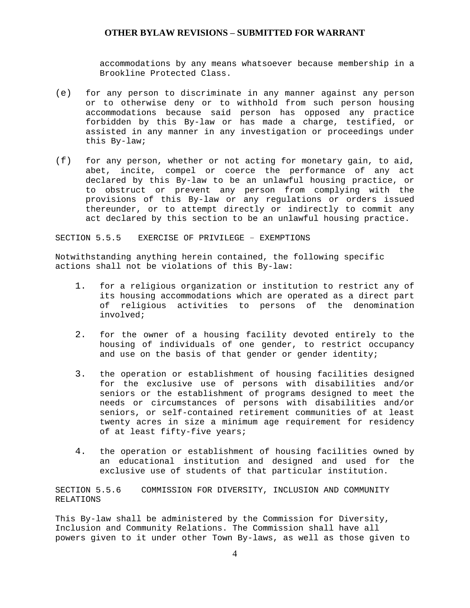accommodations by any means whatsoever because membership in a Brookline Protected Class.

- (e) for any person to discriminate in any manner against any person or to otherwise deny or to withhold from such person housing accommodations because said person has opposed any practice forbidden by this By-law or has made a charge, testified, or assisted in any manner in any investigation or proceedings under this By-law;
- (f) for any person, whether or not acting for monetary gain, to aid, abet, incite, compel or coerce the performance of any act declared by this By-law to be an unlawful housing practice, or to obstruct or prevent any person from complying with the provisions of this By-law or any regulations or orders issued thereunder, or to attempt directly or indirectly to commit any act declared by this section to be an unlawful housing practice.

SECTION 5.5.5 EXERCISE OF PRIVILEGE – EXEMPTIONS

Notwithstanding anything herein contained, the following specific actions shall not be violations of this By-law:

- 1. for a religious organization or institution to restrict any of its housing accommodations which are operated as a direct part of religious activities to persons of the denomination involved;
- 2. for the owner of a housing facility devoted entirely to the housing of individuals of one gender, to restrict occupancy and use on the basis of that gender or gender identity;
- 3. the operation or establishment of housing facilities designed for the exclusive use of persons with disabilities and/or seniors or the establishment of programs designed to meet the needs or circumstances of persons with disabilities and/or seniors, or self-contained retirement communities of at least twenty acres in size a minimum age requirement for residency of at least fifty-five years;
- 4. the operation or establishment of housing facilities owned by an educational institution and designed and used for the exclusive use of students of that particular institution.

SECTION 5.5.6 COMMISSION FOR DIVERSITY, INCLUSION AND COMMUNITY RELATIONS

This By-law shall be administered by the Commission for Diversity, Inclusion and Community Relations. The Commission shall have all powers given to it under other Town By-laws, as well as those given to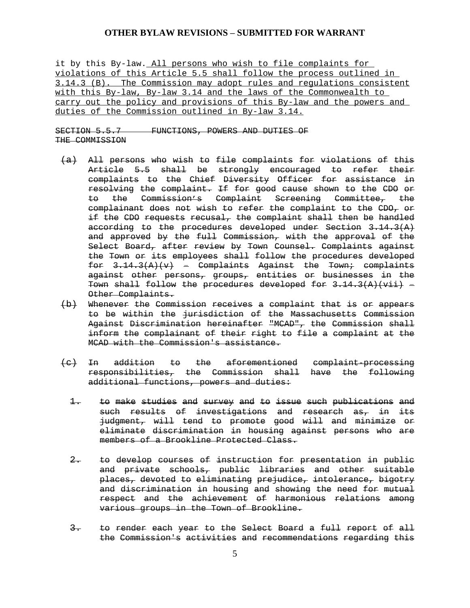it by this By-law. All persons who wish to file complaints for violations of this Article 5.5 shall follow the process outlined in 3.14.3 (B). The Commission may adopt rules and regulations consistent with this By-law, By-law 3.14 and the laws of the Commonwealth to carry out the policy and provisions of this By-law and the powers and duties of the Commission outlined in By-law 3.14.

SECTION 5.5.7 FUNCTIONS, POWERS AND DUTIES OF THE COMMISSION

- (a) All persons who wish to file complaints for violations of this Article 5.5 shall be strongly encouraged to refer their complaints to the Chief Diversity Officer for assistance in resolving the complaint. If for good cause shown to the CDO or to the Commission's Complaint Screening Committee, the complainant does not wish to refer the complaint to the CDO, or if the CDO requests recusal, the complaint shall then be handled according to the procedures developed under Section  $3.14.3(A)$ and approved by the full Commission, with the approval of the Select Board, after review by Town Counsel. Complaints against the Town or its employees shall follow the procedures developed for  $3.14.3(A)(v)$  = Complaints Against the Town; complaints against other persons, groups, entities or businesses in the Town shall follow the procedures developed for  $3.14.3(A)(\overrightarrow{vii})$  = Other Complaints.
- (b) Whenever the Commission receives a complaint that is or appears to be within the jurisdiction of the Massachusetts Commission Against Discrimination hereinafter "MCAD", the Commission shall inform the complainant of their right to file a complaint at the MCAD with the Commission's assistance.
- (c) In addition to the aforementioned complaint-processing responsibilities, the Commission shall have the following additional functions, powers and duties:
	- 1. to make studies and survey and to issue such publications and such results of investigations and research as, in its judgment, will tend to promote good will and minimize or eliminate discrimination in housing against persons who are members of a Brookline Protected Class.
	- 2. to develop courses of instruction for presentation in public and private schools, public libraries and other suitable places, devoted to eliminating prejudice, intolerance, bigotry and discrimination in housing and showing the need for mutual respect and the achievement of harmonious relations among various groups in the Town of Brookline.
	- 3. to render each year to the Select Board a full report of all the Commission's activities and recommendations regarding this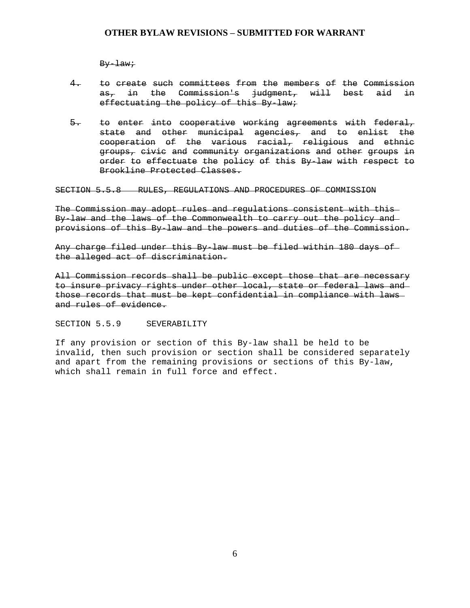By-law;

- 4. to create such committees from the members of the Commission as, in the Commission's judgment, will best aid in effectuating the policy of this By-law;
- 5. to enter into cooperative working agreements with federal, state and other municipal agencies, and to enlist the cooperation of the various racial, religious and ethnic groups, civic and community organizations and other groups in order to effectuate the policy of this By-law with respect to Brookline Protected Classes.

SECTION 5.5.8 RULES, REGULATIONS AND PROCEDURES OF COMMISSION

The Commission may adopt rules and regulations consistent with this By-law and the laws of the Commonwealth to carry out the policy and provisions of this By-law and the powers and duties of the Commission.

Any charge filed under this By-law must be filed within 180 days of the alleged act of discrimination.

All Commission records shall be public except those that are necessary to insure privacy rights under other local, state or federal laws and those records that must be kept confidential in compliance with laws and rules of evidence.

SECTION 5.5.9 SEVERABILITY

If any provision or section of this By-law shall be held to be invalid, then such provision or section shall be considered separately and apart from the remaining provisions or sections of this By-law, which shall remain in full force and effect.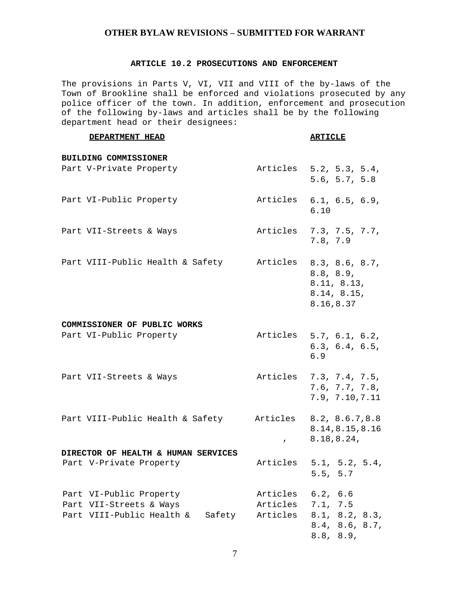#### **ARTICLE 10.2 PROSECUTIONS AND ENFORCEMENT**

The provisions in Parts V, VI, VII and VIII of the by-laws of the Town of Brookline shall be enforced and violations prosecuted by any police officer of the town. In addition, enforcement and prosecution of the following by-laws and articles shall be by the following department head or their designees:

**DEPARTMENT HEAD ARTICLE**

# **BUILDING COMMISSIONER** Part V-Private Property **Articles** 5.2, 5.3, 5.4, 5.6, 5.7, 5.8 Part VI-Public Property **Articles** 6.1, 6.5, 6.9, 6.10 Part VII-Streets & Ways Maticles 7.3, 7.5, 7.7, 7.8, 7.9 Part VIII-Public Health & Safety Marticles 8.3, 8.6, 8.7, 8.8, 8.9, 8.11, 8.13, 8.14, 8.15, 8.16,8.37 **COMMISSIONER OF PUBLIC WORKS** Part VI-Public Property **Articles** 5.7, 6.1, 6.2, 6.3, 6.4, 6.5, 6.9 Part VII-Streets & Ways (articles 7.3, 7.4, 7.5, 7.6, 7.7, 7.8, 7.9, 7.10,7.11 Part VIII-Public Health & Safety Marticles 8.2, 8.6.7,8.8 , 8.18,8.24, 8.14,8.15,8.16 **DIRECTOR OF HEALTH & HUMAN SERVICES** Part V-Private Property **Articles** 5.1, 5.2, 5.4, 5.5, 5.7 Part VI-Public Property  $\overline{A}$  Articles 6.2, 6.6 Part VII-Streets & Ways Marticles 7.1, 7.5 Part VIII-Public Health & Safety Articles 8.1, 8.2, 8.3, 8.4, 8.6, 8.7, 8.8, 8.9,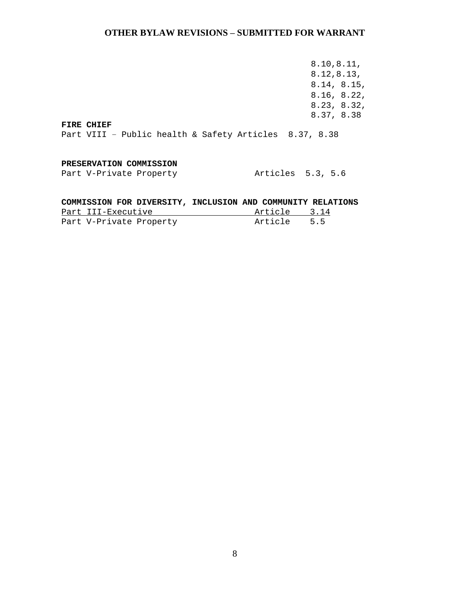8.10,8.11, 8.12,8.13, 8.14, 8.15, 8.16, 8.22, 8.23, 8.32, 8.37, 8.38

**FIRE CHIEF**

Part VIII – Public health & Safety Articles 8.37, 8.38

#### **PRESERVATION COMMISSION**

Part V-Private Property<br>Part V-Private Property Meticles 5.3, 5.6

## **COMMISSION FOR DIVERSITY, INCLUSION AND COMMUNITY RELATIONS**

| Part III-Executive      | Article 3.14 |  |
|-------------------------|--------------|--|
| Part V-Private Property | Article 5.5  |  |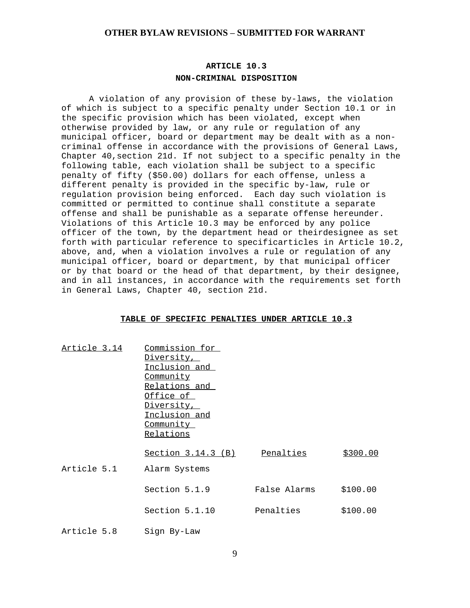## **ARTICLE 10.3 NON-CRIMINAL DISPOSITION**

A violation of any provision of these by-laws, the violation of which is subject to a specific penalty under Section 10.1 or in the specific provision which has been violated, except when otherwise provided by law, or any rule or regulation of any municipal officer, board or department may be dealt with as a noncriminal offense in accordance with the provisions of General Laws, Chapter 40,section 21d. If not subject to a specific penalty in the following table, each violation shall be subject to a specific penalty of fifty (\$50.00) dollars for each offense, unless a different penalty is provided in the specific by-law, rule or regulation provision being enforced. Each day such violation is committed or permitted to continue shall constitute a separate offense and shall be punishable as a separate offense hereunder. Violations of this Article 10.3 may be enforced by any police officer of the town, by the department head or theirdesignee as set forth with particular reference to specificarticles in Article 10.2, above, and, when a violation involves a rule or regulation of any municipal officer, board or department, by that municipal officer or by that board or the head of that department, by their designee, and in all instances, in accordance with the requirements set forth in General Laws, Chapter 40, section 21d.

#### **TABLE OF SPECIFIC PENALTIES UNDER ARTICLE 10.3**

| Article 3.14 | Commission for<br>Diversity,<br>Inclusion and<br><u>Community</u><br>Relations and<br>Office of<br>Diversity,<br>Inclusion and<br>Community<br>Relations |              |          |
|--------------|----------------------------------------------------------------------------------------------------------------------------------------------------------|--------------|----------|
|              | <u>Section 3.14.3 (B)</u>                                                                                                                                | Penalties    | \$300.00 |
| Article 5.1  | Alarm Systems                                                                                                                                            |              |          |
|              | Section 5.1.9                                                                                                                                            | False Alarms | \$100.00 |
|              | Section 5.1.10                                                                                                                                           | Penalties    | \$100.00 |
| Article 5.8  | Sign By-Law                                                                                                                                              |              |          |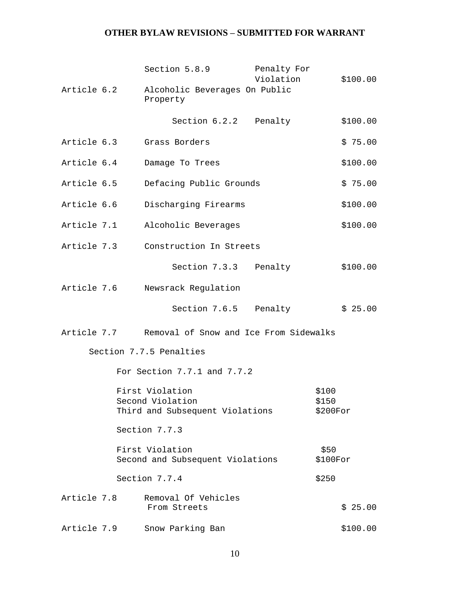|                                               |  | Section 5.8.9                                       | Penalty For<br>Violation |                    |
|-----------------------------------------------|--|-----------------------------------------------------|--------------------------|--------------------|
| Article 6.2                                   |  | Alcoholic Beverages On Public                       |                          | \$100.00           |
|                                               |  | Property                                            |                          |                    |
|                                               |  | Section 6.2.2                                       | Penalty                  | \$100.00           |
| Article 6.3                                   |  | Grass Borders                                       |                          | \$75.00            |
| Article 6.4                                   |  | Damage To Trees                                     |                          | \$100.00           |
| Article 6.5                                   |  | Defacing Public Grounds                             |                          | \$75.00            |
| Article 6.6                                   |  | Discharging Firearms                                |                          | \$100.00           |
| Article 7.1                                   |  | Alcoholic Beverages                                 |                          | \$100.00           |
| Article 7.3                                   |  | Construction In Streets                             |                          |                    |
|                                               |  | Section 7.3.3                                       | Penalty                  | \$100.00           |
| Article 7.6                                   |  | Newsrack Regulation                                 |                          |                    |
|                                               |  | Section 7.6.5                                       | Penalty                  | \$25.00            |
| Article 7.7                                   |  | Removal of Snow and Ice From Sidewalks              |                          |                    |
|                                               |  | Section 7.7.5 Penalties                             |                          |                    |
|                                               |  | For Section 7.7.1 and 7.7.2                         |                          |                    |
|                                               |  | First Violation                                     |                          | \$100              |
|                                               |  | Second Violation                                    |                          | \$150              |
| Third and Subsequent Violations<br>$$200$ For |  |                                                     |                          |                    |
|                                               |  | Section 7.7.3                                       |                          |                    |
|                                               |  | First Violation<br>Second and Subsequent Violations |                          | \$50<br>$$100$ For |
|                                               |  | Section 7.7.4                                       |                          | \$250              |
| Article 7.8                                   |  | Removal Of Vehicles<br>From Streets                 |                          | \$25.00            |
| Article 7.9                                   |  | Snow Parking Ban                                    |                          | \$100.00           |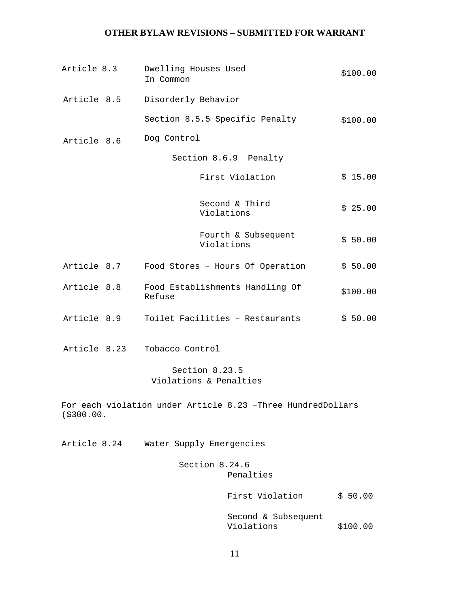| Article 8.3  | Dwelling Houses Used<br>In Common |                |                                                             | \$100.00 |          |
|--------------|-----------------------------------|----------------|-------------------------------------------------------------|----------|----------|
| Article 8.5  | Disorderly Behavior               |                |                                                             |          |          |
|              |                                   |                | Section 8.5.5 Specific Penalty                              |          | \$100.00 |
| Article 8.6  | Dog Control                       |                |                                                             |          |          |
|              |                                   |                | Section 8.6.9 Penalty                                       |          |          |
|              |                                   |                | First Violation                                             |          | \$15.00  |
|              |                                   | Violations     | Second & Third                                              |          | \$25.00  |
|              |                                   | Violations     | Fourth & Subsequent                                         |          | \$50.00  |
| Article 8.7  |                                   |                | Food Stores - Hours Of Operation                            |          | \$50.00  |
| Article 8.8  | Refuse                            |                | Food Establishments Handling Of                             |          | \$100.00 |
| Article 8.9  |                                   |                | Toilet Facilities - Restaurants                             |          | \$50.00  |
| Article 8.23 | Tobacco Control                   |                |                                                             |          |          |
|              | Violations & Penalties            | Section 8.23.5 |                                                             |          |          |
| ( \$300.00.  |                                   |                | For each violation under Article 8.23 -Three HundredDollars |          |          |
| Article 8.24 | Water Supply Emergencies          |                |                                                             |          |          |
|              |                                   | Section 8.24.6 | Penalties                                                   |          |          |
|              |                                   |                | First Violation                                             |          | \$50.00  |
|              |                                   |                | Second & Subsequent<br>Violations                           |          | \$100.00 |